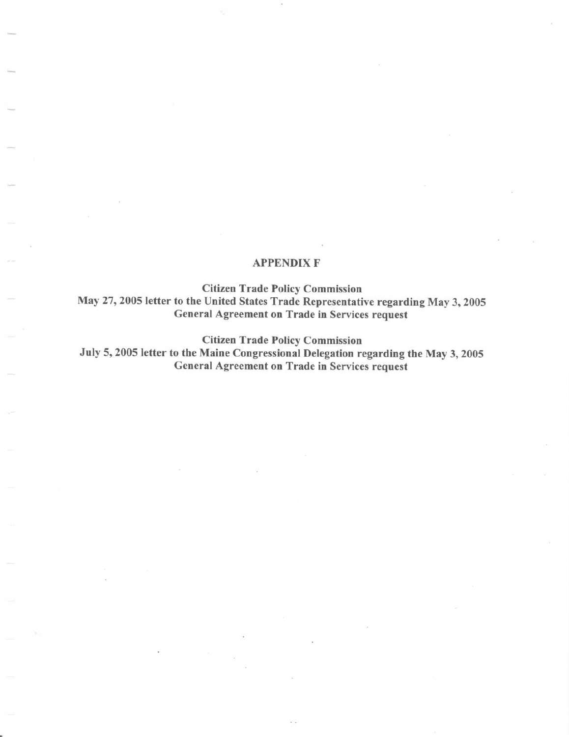## APPENDIX F

Citizen Trade Policy Commission May 27, <sup>2005</sup> letter to the United States Trade Representative regarding May 3, <sup>2005</sup> General Agreement on Trade in Services request

Citizen Trade Policy Commission

July 5, 2005 letter to the Maine Congressional Delegation regarding the May 3, 2005 General Agreement on Trade in Services request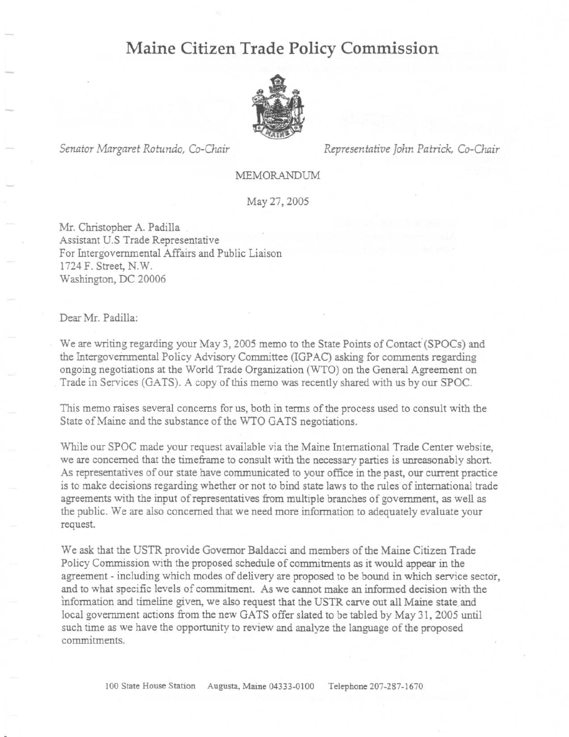## Maine Citizen Trade Policy Commission



Senator Margaret Rotundo, Co-Chair Representative John Patrick, Co-Chair

MEMORANDUM

May 27, 2005

Mr. Christopher A. Padilla Assistant U.S Trade Representative For Intergovernmental Affairs and Public Liaison <sup>1724</sup> F. Street, N.W Washington, DC <sup>20006</sup>

## Dear Mr. Padilla:

We are writing regarding your May 3, 2005 memo to the State Points of Contact (SPOCs) and the Intergovernmental Policy Advisory Committee (IGPAC) asking for comments regarding ongoing negotiations at the World Trade Organization (WTO) on the General Agreement on Trade in Services (GATS) . A copy of this memo was recently shared with us by our SPOC.

This memo raises several concerns for us, both in terms of the process used to consult with the State of Maine and the substance of the WTO GATS negotiations .

While our SPOC made your request available via the Maine International Trade Center website, we are concerned that the timeframe to consult with the necessary parties is unreasonably short. As representatives of our state have communicated to your office in the past, our current practice is to make decisions regarding whether or not to bind state laws to the rules of international trade agreements with the input of representatives from multiple branches of government, as well as the public. We are also concerned that we need more information to adequately evaluate your request.

We ask that the USTR provide Governor Baldacci and members of the Maine Citizen Trade Policy Commission with the proposed schedule of commitments as it would appear in the agreement - including which modes of delivery are proposed to be bound in which service sector, and to what specific levels of commitment. As we cannot make an informed decision with the information and timeline given, we also request that the USTR carve out all Maine state and local government actions from the new GATS offer slated to be tabled by May 31, 2005 until such time as we have the opportunity to review and analyze the language of the proposed commitments.

100 State House Station Augusta, Maine 04333-0100 Telephone 207-287-1670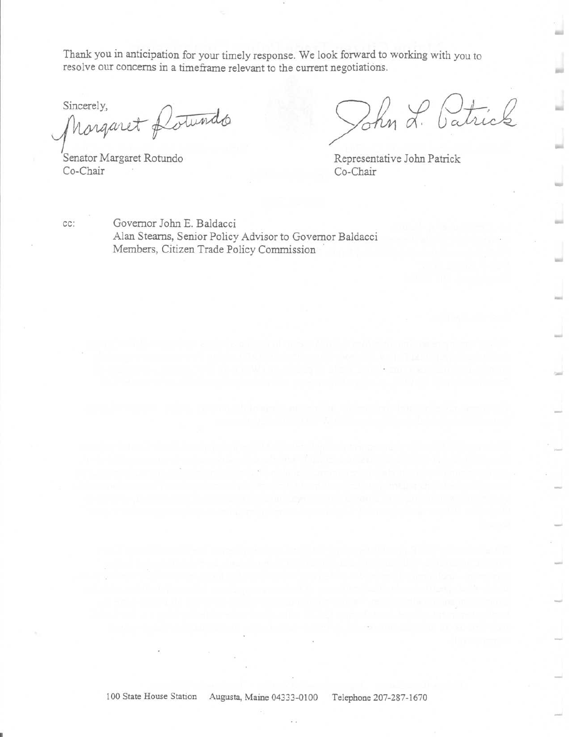Thank you in anticipation for your timely response. We look forward to working with you to resolve our concerns in a timeframe relevant to the current negotiations .

Sincerely,<br>Margaret Portundo

Senator Margaret Rotundo<br>Co-Chair Co-Chair Co-Chair

Tohn L. Catrick

Representative John Patrick

cc: Governor John E. Baldacci Alan Stearns, Senior Policy Advisor to Governor Baldacci Members, Citizen Trade Policy Commission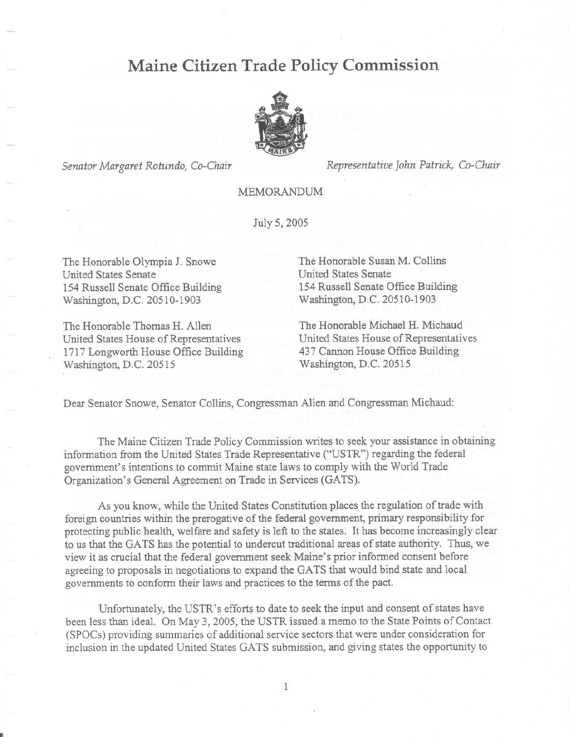## Maine Citizen Trade Policy Commission



Senator Margaret Rotundo, Co-Chair Representative John Patrick, Co-Chair

MEMORANDUM

July 5, 2005

The Honorable Olympia J. Snowe The Honorable Susan M. Collins<br>
United States Senate United States Senate United States Senate<br>
154 Russell Senate Office Building<br>
154 Russell Senate Office Building<br>
154 Russell Senate Office Building 154 Russell Senate Office Building 154 Russell Senate Office Building Washington, D.C. 20510-1903 Washington, D.C. 20510-1903

United States House of Representatives United States House of Representatives<br>1717 Longworth House Office Building 437 Cannon House Office Building 1717 Longworth House Office Building 437 Cannon House Office Washington, D.C. 20515 Washington, D.C. 20515

The Honorable Thomas H. Allen The Honorable Michael H. Michaud<br>
United States House of Representatives United States House of Representatives

Dear Senator Snowe, Senator Collins, Congressman Allen and Congressman Michaud:

The Maine Citizen Trade Policy Commission writes to seek your assistance in obtaining information from the United States Trade Representative ("USTR") regarding the federal government's intentions to commit Maine state laws to comply with the World Trade Organization's General Agreement on Trade in Services (GATS).

As you know, while the United States Constitution places the regulation of trade with foreign countries within the prerogative of the federal government, primary responsibility for protecting public health, welfare and safety is left to the states. It has become increasingly clear to us that the GATS has the potential to undercut traditional areas of state authority. Thus, we view it as crucial that the federal government seek Maine's prior informed consent before agreeing to proposals in negotiations to expand the GATS that would bind state and local governments to conform their laws and practices to the terms of the pact.

Unfortunately, the USTR's efforts to date to seek the input and consent of states have been less than ideal. On May 3, 2005, the USTR issued a memo to the State Points of Contact (SPOCs) providing summaries of additional service sectors that were under consideration for inclusion in the updated United States GATS submission, and giving states the opportunity to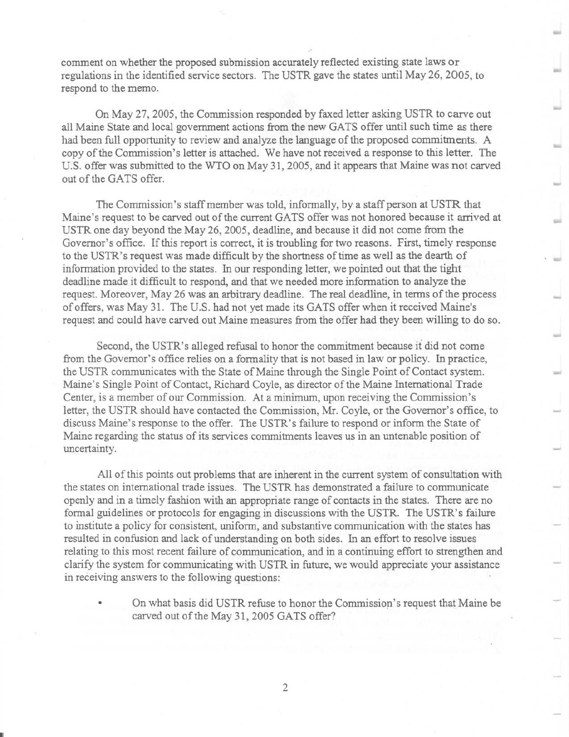comment on whether the proposed submission accurately reflected existing state laws or regulations in the identified service sectors . The USTR gave the states until May 26, 2005, to respond to the memo.

On May 27, 2005, the Commission responded by faxed letter asking USTR to carve out all Maine State and local government actions from the new GATS offer until such time as there had been full opportunity to review and analyze the language of the proposed commitments. A copy of the Commission's letter is attached. We have not received a response to this letter. The U.S. offer was submitted to the WTO on May 31, 2005, and it appears that Maine was not carved out of the GATS offer.

The Commission's staff member was told, informally, by a staff person at USTR that Maine's request to be carved out of the current GATS offer was not honored because it arrived at USTR one day beyond the May 26, 2005, deadline, and because it did not come from the Governor's office . If this report is correct, it is troubling for two reasons. First, timely response to the USTR's request was made difficult by the shortness of time as well as the dearth of information provided to the states. In our responding letter, we pointed out that the tight deadline made it difficult to respond, and that we needed more information to analyze the request. Moreover, May 26 was an arbitrary deadline. The real deadline, in terms of the process of offers, was May 31. The U.S. had not yet made its GATS offer when it received Maine's request and could have carved out Maine measures from the offer had they been willing to do so.

Second, the USTR's alleged refusal to honor the commitment because it did not come from the Governor's office relies on a formality that is not based in law or policy. In practice, the USTR communicates with the State of Maine through the Single Point of Contact system. Maine's Single Point of Contact, Richard Coyle, as director of the Maine International Trade Center, is a member of our Commission. At a minimum, upon receiving the Commission's letter, the USTR should have contacted the Commission, Mr. Coyle, or the Governor's office, to discuss Maine's response to the offer. The USTR's failure to respond or inform the State of Maine regarding the status of its services commitments leaves us in an untenable position of uncertainty.

All of this points out problems that are inherent in the current system of consultation with the states on international trade issues. The USTR has demonstrated a failure to communicate openly and in a timely fashion with an appropriate range of contacts in the states . There are no formal guidelines or protocols for engaging in discussions with the USTR. The USTR's failure to institute a policy for consistent, uniform, and substantive communication with the states has resulted in confusion and lack of understanding on both sides. In an effort to resolve issues relating to this most recent failure of communication, and in a continuing effort to strengthen and clarify the system for communicating with USTR in future, we would appreciate your assistance in receiving answers to the following questions:

On what basis did USTR refuse to honor the Commission's request that Maine be carved out of the May 31, 2005 GATS offer?

 $\overline{2}$